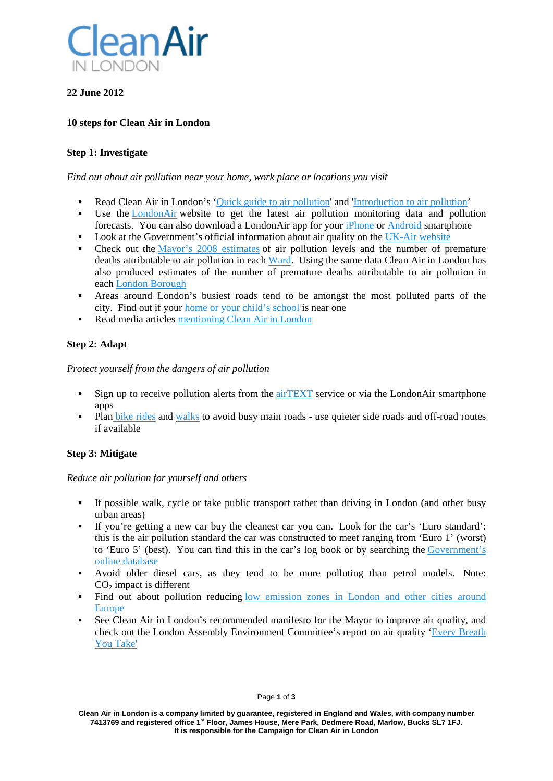

## **22 June 2012**

### **10 steps for Clean Air in London**

#### **Step 1: Investigate**

#### *Find out about air pollution near your home, work place or locations you visit*

- Read Clean Air in London's ['Quick guide to air pollution'](http://cleanairinlondon.org/guides/quick-guide-to-air-pollution/) and ['Introduction to air pollution'](http://cleanairinlondon.org/guides/introduction-to-air-pollution/)
- Use the [LondonAir](http://www.londonair.org.uk/) website to get the latest air pollution monitoring data and pollution forecasts. You can also download a LondonAir app for your [iPhone](http://itunes.apple.com/gb/app/london-air/id358970517?mt=8) or [Android](https://play.google.com/store/apps/details?id=uk.org.londonair.laqn&hl=en) smartphone
- Look at the Government's official information about air quality on the [UK-Air website](http://uk-air.defra.gov.uk/)
- Check out the [Mayor's 2008 estimates](http://www.london.gov.uk/sites/default/files/Health_Study_%20Report.pdf) of air pollution levels and the number of premature deaths attributable to air pollution in each [Ward.](http://cleanairinlondon.org/wp-content/uploads/CAL-098-Health_Study_-Report.pdf) Using the same data Clean Air in London has also produced estimates of the number of premature deaths attributable to air pollution in each [London Borough](http://cleanairinlondon.org/wp-content/uploads/CAL-098-300610_Provisional-analysis-by-borough2.pdf)
- Areas around London's busiest roads tend to be amongst the most polluted parts of the city. Find out if your [home or your child's school](http://cleanairinlondon.org/sources/clean-air-in-london-has-found-1148-schools-in-london-within-150-metres-of-busiest-roads/) is near one
- Read media articles [mentioning Clean Air in London](http://www.delicious.com/CleanAirLondon)

### **Step 2: Adapt**

#### *Protect yourself from the dangers of air pollution*

- Sign up to receive pollution alerts from the [airTEXT](http://www.airtext.info/) service or via the LondonAir smartphone apps
- Plan [bike rides](https://www.tfl.gov.uk/roadusers/cycling/11682.aspx) and [walks](http://walkit.com/) to avoid busy main roads use quieter side roads and off-road routes if available

### **Step 3: Mitigate**

#### *Reduce air pollution for yourself and others*

- If possible walk, cycle or take public transport rather than driving in London (and other busy urban areas)
- If you're getting a new car buy the cleanest car you can. Look for the car's 'Euro standard': this is the air pollution standard the car was constructed to meet ranging from 'Euro 1' (worst) to 'Euro 5' (best). You can find this in the car's log book or by searching the [Government's](http://carfueldata.direct.gov.uk/search-new-or-used-cars.aspx)  [online database](http://carfueldata.direct.gov.uk/search-new-or-used-cars.aspx)
- Avoid older diesel cars, as they tend to be more polluting than petrol models. Note: CO2 impact is different
- Find out about pollution reducing [low emission zones in London and other cities around](http://www.lowemissionzones.eu/)  [Europe](http://www.lowemissionzones.eu/)
- See Clean Air in London's recommended manifesto for the Mayor to improve air quality, and check out the London Assembly Environment Committee's report on air quality ['Every Breath](http://www.london.gov.uk/who-runs-london/the-london-assembly/publications/environment/every-breath-you-take-investigation-air-quality-london)  [You Take'](http://www.london.gov.uk/who-runs-london/the-london-assembly/publications/environment/every-breath-you-take-investigation-air-quality-london)

**Clean Air in London is a company limited by guarantee, registered in England and Wales, with company number 7413769 and registered office 1st Floor, James House, Mere Park, Dedmere Road, Marlow, Bucks SL7 1FJ. It is responsible for the Campaign for Clean Air in London**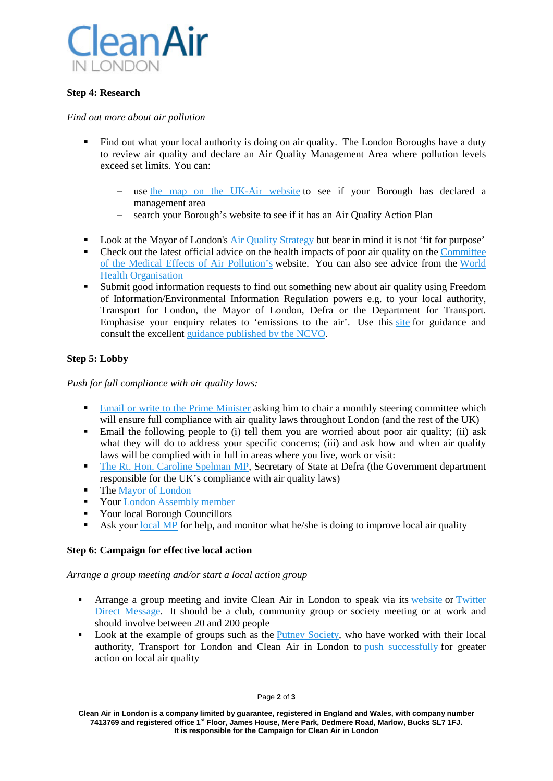

### **Step 4: Research**

#### *Find out more about air pollution*

- Find out what your local authority is doing on air quality. The London Boroughs have a duty to review air quality and declare an Air Quality Management Area where pollution levels exceed set limits. You can:
	- − use [the map on the UK-Air website](http://aqma.defra.gov.uk/maps.php) to see if your Borough has declared a management area
	- − search your Borough's website to see if it has an Air Quality Action Plan
- Look at the Mayor of London's [Air Quality Strategy](http://www.london.gov.uk/air-quality) but bear in mind it is not 'fit for purpose'
- Check out the latest official advice on the health impacts of poor air quality on the Committee [of the Medical Effects of Air Pollution's](http://www.comeap.org.uk/) website. You can also see advice from the [World](http://www.who.int/mediacentre/factsheets/fs313/en/index.html)  [Health Organisation](http://www.who.int/mediacentre/factsheets/fs313/en/index.html)
- Submit good information requests to find out something new about air quality using Freedom of Information/Environmental Information Regulation powers e.g. to your local authority, Transport for London, the Mayor of London, Defra or the Department for Transport. Emphasise your enquiry relates to 'emissions to the air'. Use this [site](http://www.whatdotheyknow.com/) for guidance and consult the excellent [guidance published by the NCVO.](http://www.ncvo-vol.org.uk/sites/default/files/Your_right_to_know.pdf)

### **Step 5: Lobby**

*Push for full compliance with air quality laws:*

- **[Email or write to the Prime Minister](http://www.number10.gov.uk/footer/contact-us) asking him to chair a monthly steering committee which** will ensure full compliance with air quality laws throughout London (and the rest of the UK)
- Email the following people to (i) tell them you are worried about poor air quality; (ii) ask what they will do to address your specific concerns; (iii) and ask how and when air quality laws will be complied with in full in areas where you live, work or visit:
- [The Rt. Hon. Caroline Spelman MP,](http://www.defra.gov.uk/corporate/contacts/) Secretary of State at Defra (the Government department responsible for the UK's compliance with air quality laws)
- The [Mayor of London](mailto:mayor@london.gov.uk)
- **Your [London Assembly member](http://www.london.gov.uk/who-runs-london/the-london-assembly/members)**
- Your local Borough Councillors
- Ask your [local MP](http://www.theyworkforyou.com/) for help, and monitor what he/she is doing to improve local air quality

#### **Step 6: Campaign for effective local action**

*Arrange a group meeting and/or start a local action group*

- **Arrange a group meeting and invite Clean Air in London to speak via its [website](http://cleanairinlondon.org/) or Twitter** [Direct Message.](https://twitter.com/#!/CleanAirLondon) It should be a club, community group or society meeting or at work and should involve between 20 and 200 people
- Look at the example of groups such as the [Putney Society,](http://www.putneysociety.org.uk/issues/air-pollution-in-putney.html) who have worked with their local authority, Transport for London and Clean Air in London to [push successfully](http://www.richardtracey.co.uk/newsdisplay.php/2012-03-30/85_of_putney_high_street_buses_will_be_cleaner_by_2013) for greater action on local air quality

Page **2** of **3**

**Clean Air in London is a company limited by guarantee, registered in England and Wales, with company number 7413769 and registered office 1st Floor, James House, Mere Park, Dedmere Road, Marlow, Bucks SL7 1FJ. It is responsible for the Campaign for Clean Air in London**